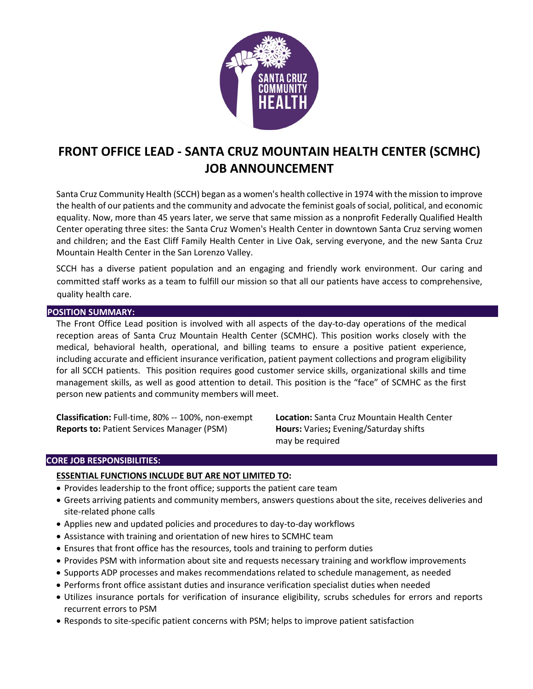

# **FRONT OFFICE LEAD - SANTA CRUZ MOUNTAIN HEALTH CENTER (SCMHC) JOB ANNOUNCEMENT**

Santa Cruz Community Health (SCCH) began as a women's health collective in 1974 with the mission to improve the health of our patients and the community and advocate the feminist goals of social, political, and economic equality. Now, more than 45 years later, we serve that same mission as a nonprofit Federally Qualified Health Center operating three sites: the Santa Cruz Women's Health Center in downtown Santa Cruz serving women and children; and the East Cliff Family Health Center in Live Oak, serving everyone, and the new Santa Cruz Mountain Health Center in the San Lorenzo Valley.

SCCH has a diverse patient population and an engaging and friendly work environment. Our caring and committed staff works as a team to fulfill our mission so that all our patients have access to comprehensive, quality health care.

### **POSITION SUMMARY:**

The Front Office Lead position is involved with all aspects of the day-to-day operations of the medical reception areas of Santa Cruz Mountain Health Center (SCMHC). This position works closely with the medical, behavioral health, operational, and billing teams to ensure a positive patient experience, including accurate and efficient insurance verification, patient payment collections and program eligibility for all SCCH patients. This position requires good customer service skills, organizational skills and time management skills, as well as good attention to detail. This position is the "face" of SCMHC as the first person new patients and community members will meet.

**Classification:** Full-time, 80% -- 100%, non-exempt **Location:** Santa Cruz Mountain Health Center **Reports to:** Patient Services Manager (PSM) **Hours:** Varies**;** Evening/Saturday shifts

may be required

# **CORE JOB RESPONSIBILITIES:**

# **ESSENTIAL FUNCTIONS INCLUDE BUT ARE NOT LIMITED TO:**

- Provides leadership to the front office; supports the patient care team
- Greets arriving patients and community members, answers questions about the site, receives deliveries and site-related phone calls
- Applies new and updated policies and procedures to day-to-day workflows
- Assistance with training and orientation of new hires to SCMHC team
- Ensures that front office has the resources, tools and training to perform duties
- Provides PSM with information about site and requests necessary training and workflow improvements
- Supports ADP processes and makes recommendations related to schedule management, as needed
- Performs front office assistant duties and insurance verification specialist duties when needed
- Utilizes insurance portals for verification of insurance eligibility, scrubs schedules for errors and reports recurrent errors to PSM
- Responds to site-specific patient concerns with PSM; helps to improve patient satisfaction